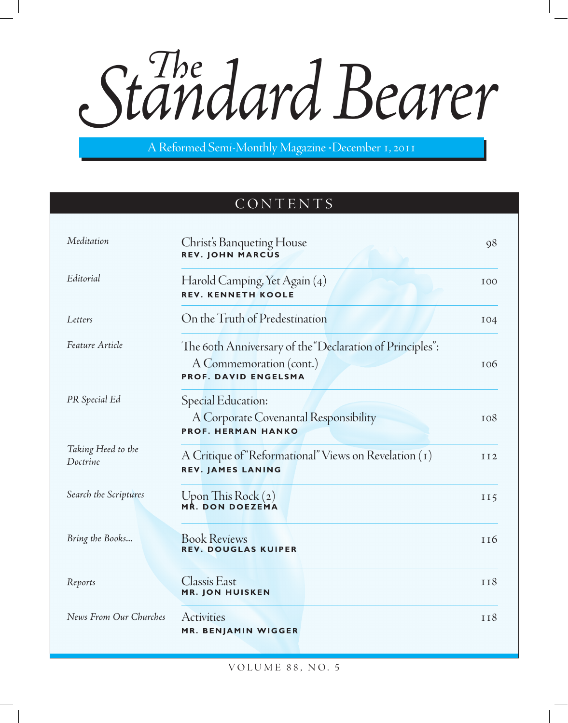Standard Bearer

A Reformed Semi-Monthly Magazine • December 1, 2011

# CONTENTS

| Meditation                     | Christ's Banqueting House<br><b>REV. JOHN MARCUS</b>                                                               | 98         |
|--------------------------------|--------------------------------------------------------------------------------------------------------------------|------------|
| Editorial                      | Harold Camping, Yet Again (4)<br><b>REV. KENNETH KOOLE</b>                                                         | <b>IOO</b> |
| Letters                        | On the Truth of Predestination                                                                                     | 104        |
| Feature Article                | The 60th Anniversary of the "Declaration of Principles":<br>A Commemoration (cont.)<br><b>PROF. DAVID ENGELSMA</b> | <b>106</b> |
| PR Special Ed                  | Special Education:<br>A Corporate Covenantal Responsibility<br><b>PROF. HERMAN HANKO</b>                           | <b>108</b> |
| Taking Heed to the<br>Doctrine | A Critique of "Reformational" Views on Revelation (1)<br><b>REV. JAMES LANING</b>                                  | II2        |
| Search the Scriptures          | Upon This Rock $(z)$<br>MR. DON DOEZEMA                                                                            | II5        |
| Bring the Books                | <b>Book Reviews</b><br><b>REV. DOUGLAS KUIPER</b>                                                                  | 116        |
| Reports                        | <b>Classis East</b><br><b>MR. JON HUISKEN</b>                                                                      | II8        |
| News From Our Churches         | Activities<br>MR. BENJAMIN WIGGER                                                                                  | <b>TI8</b> |

VOLUME 88, NO. 5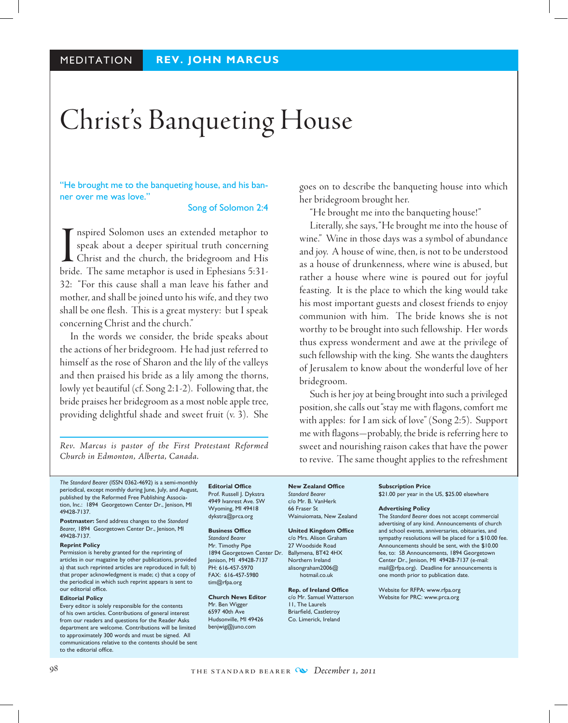# Christ's Banqueting House

"He brought me to the banqueting house, and his banner over me was love."

#### Song of Solomon 2:4

I nspired Solomon uses an extended metaphor to speak about a deeper spiritual truth concerning Christ and the church, the bridegroom and His bride. The same metaphor is used in Ephesians 5:31nspired Solomon uses an extended metaphor to speak about a deeper spiritual truth concerning Christ and the church, the bridegroom and His 32: "For this cause shall a man leave his father and mother, and shall be joined unto his wife, and they two shall be one flesh. This is a great mystery: but I speak concerning Christ and the church."

In the words we consider, the bride speaks about the actions of her bridegroom. He had just referred to himself as the rose of Sharon and the lily of the valleys and then praised his bride as a lily among the thorns, lowly yet beautiful (cf. Song 2:1-2). Following that, the bride praises her bridegroom as a most noble apple tree, providing delightful shade and sweet fruit (v. 3). She

*Rev. Marcus is pastor of the First Protestant Reformed Church in Edmonton, Alberta, Canada.*

goes on to describe the banqueting house into which her bridegroom brought her.

"He brought me into the banqueting house!"

 Literally, she says, "He brought me into the house of wine." Wine in those days was a symbol of abundance and joy. A house of wine, then, is not to be understood as a house of drunkenness, where wine is abused, but rather a house where wine is poured out for joyful feasting. It is the place to which the king would take his most important guests and closest friends to enjoy communion with him. The bride knows she is not worthy to be brought into such fellowship. Her words thus express wonderment and awe at the privilege of such fellowship with the king. She wants the daughters of Jerusalem to know about the wonderful love of her bridegroom.

Such is her joy at being brought into such a privileged position, she calls out "stay me with flagons, comfort me with apples: for I am sick of love" (Song 2:5). Support me with flagons—probably, the bride is referring here to sweet and nourishing raison cakes that have the power to revive. The same thought applies to the refreshment

*The Standard Bearer* (ISSN 0362-4692) is a semi-monthly periodical, except monthly during June, July, and August, published by the Reformed Free Publishing Association, Inc.: 1894 Georgetown Center Dr., Jenison, MI 49428-7137.

**Postmaster:** Send address changes to the *Standard Bearer,* 1894 Georgetown Center Dr., Jenison, MI 49428-7137.

#### **Reprint Policy**

Permission is hereby granted for the reprinting of articles in our magazine by other publications, provided a) that such reprinted articles are reproduced in full; b) that proper acknowledgment is made; c) that a copy of the periodical in which such reprint appears is sent to our editorial office.

#### **Editorial Policy**

Every editor is solely responsible for the contents of his own articles. Contributions of general interest from our readers and questions for the Reader Asks department are welcome. Contributions will be limited to approximately 300 words and must be signed. All communications relative to the contents should be sent to the editorial office.

**Editorial Office** Prof. Russell J. Dykstra 4949 Ivanrest Ave. SW Wyoming, MI 49418 dykstra@prca.org

#### **Business Office**

*Standard Bearer* Mr. Timothy Pipe 1894 Georgetown Center Dr. Ballymena, BT42 4HX Jenison, MI 49428-7137 PH: 616-457-5970 FAX: 616-457-5980 tim@rfpa.org

#### **Church News Editor** Mr. Ben Wigger

6597 40th Ave Hudsonville, MI 49426 benjwig@juno.com

**New Zealand Office** *Standard Bearer* c/o Mr. B. VanHerk 66 Fraser St Wainuiomata, New Zealand

**United Kingdom Office** c/o Mrs. Alison Graham 27 Woodside Road Northern Ireland alisongraham2006@ hotmail.co.uk

**Rep. of Ireland Office** c/o Mr. Samuel Watterson 11, The Laurels Briarfield, Castletroy Co. Limerick, Ireland

#### **Subscription Price** \$21.00 per year in the US, \$25.00 elsewhere

#### **Advertising Policy**

The *Standard Bearer* does not accept commercial advertising of any kind. Announcements of church and school events, anniversaries, obituaries, and sympathy resolutions will be placed for a \$10.00 fee. Announcements should be sent, with the \$10.00 fee, to: *SB* Announcements, 1894 Georgetown Center Dr., Jenison, MI 49428-7137 (e-mail: mail@rfpa.org). Deadline for announcements is one month prior to publication date.

Website for RFPA: www.rfpa.org Website for PRC: www.prca.org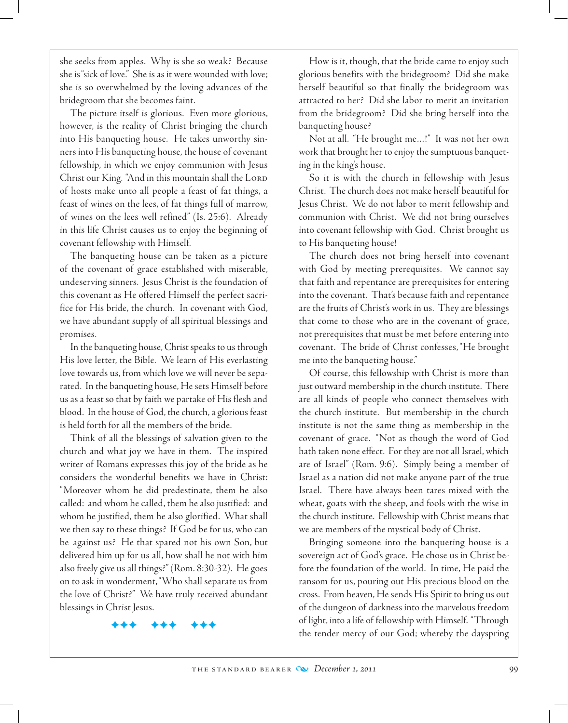she seeks from apples. Why is she so weak? Because she is "sick of love." She is as it were wounded with love; she is so overwhelmed by the loving advances of the bridegroom that she becomes faint.

The picture itself is glorious. Even more glorious, however, is the reality of Christ bringing the church into His banqueting house. He takes unworthy sinners into His banqueting house, the house of covenant fellowship, in which we enjoy communion with Jesus Christ our King. "And in this mountain shall the LORD of hosts make unto all people a feast of fat things, a feast of wines on the lees, of fat things full of marrow, of wines on the lees well refined" (Is. 25:6). Already in this life Christ causes us to enjoy the beginning of covenant fellowship with Himself.

The banqueting house can be taken as a picture of the covenant of grace established with miserable, undeserving sinners. Jesus Christ is the foundation of this covenant as He offered Himself the perfect sacrifice for His bride, the church. In covenant with God, we have abundant supply of all spiritual blessings and promises.

In the banqueting house, Christ speaks to us through His love letter, the Bible. We learn of His everlasting love towards us, from which love we will never be separated. In the banqueting house, He sets Himself before us as a feast so that by faith we partake of His flesh and blood. In the house of God, the church, a glorious feast is held forth for all the members of the bride.

Think of all the blessings of salvation given to the church and what joy we have in them. The inspired writer of Romans expresses this joy of the bride as he considers the wonderful benefits we have in Christ: "Moreover whom he did predestinate, them he also called: and whom he called, them he also justified: and whom he justified, them he also glorified. What shall we then say to these things? If God be for us, who can be against us? He that spared not his own Son, but delivered him up for us all, how shall he not with him also freely give us all things?" (Rom. 8:30-32). He goes on to ask in wonderment, "Who shall separate us from the love of Christ?" We have truly received abundant blessings in Christ Jesus.

FFF FFF FFF

How is it, though, that the bride came to enjoy such glorious benefits with the bridegroom? Did she make herself beautiful so that finally the bridegroom was attracted to her? Did she labor to merit an invitation from the bridegroom? Did she bring herself into the banqueting house?

Not at all. "He brought me…!" It was not her own work that brought her to enjoy the sumptuous banqueting in the king's house.

So it is with the church in fellowship with Jesus Christ. The church does not make herself beautiful for Jesus Christ. We do not labor to merit fellowship and communion with Christ. We did not bring ourselves into covenant fellowship with God. Christ brought us to His banqueting house!

The church does not bring herself into covenant with God by meeting prerequisites. We cannot say that faith and repentance are prerequisites for entering into the covenant. That's because faith and repentance are the fruits of Christ's work in us. They are blessings that come to those who are in the covenant of grace, not prerequisites that must be met before entering into covenant. The bride of Christ confesses, "He brought me into the banqueting house."

Of course, this fellowship with Christ is more than just outward membership in the church institute. There are all kinds of people who connect themselves with the church institute. But membership in the church institute is not the same thing as membership in the covenant of grace. "Not as though the word of God hath taken none effect. For they are not all Israel, which are of Israel" (Rom. 9:6). Simply being a member of Israel as a nation did not make anyone part of the true Israel. There have always been tares mixed with the wheat, goats with the sheep, and fools with the wise in the church institute. Fellowship with Christ means that we are members of the mystical body of Christ.

Bringing someone into the banqueting house is a sovereign act of God's grace. He chose us in Christ before the foundation of the world. In time, He paid the ransom for us, pouring out His precious blood on the cross. From heaven, He sends His Spirit to bring us out of the dungeon of darkness into the marvelous freedom of light, into a life of fellowship with Himself. "Through the tender mercy of our God; whereby the dayspring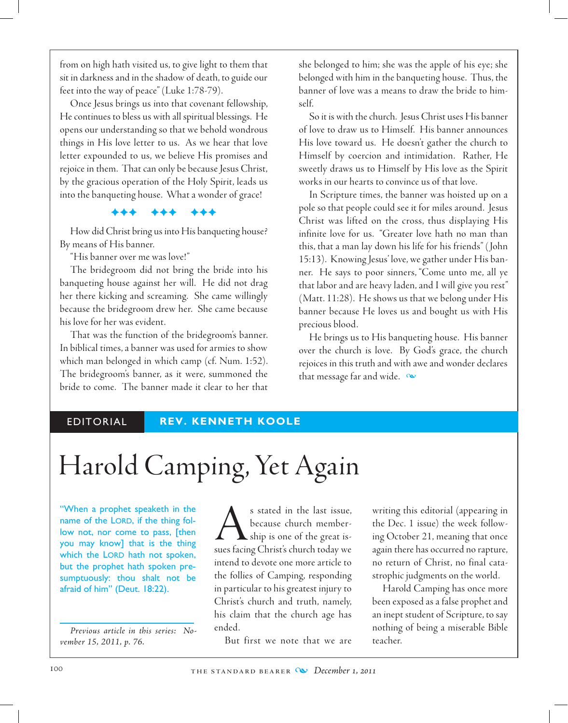from on high hath visited us, to give light to them that sit in darkness and in the shadow of death, to guide our feet into the way of peace" (Luke 1:78-79).

Once Jesus brings us into that covenant fellowship, He continues to bless us with all spiritual blessings. He opens our understanding so that we behold wondrous things in His love letter to us. As we hear that love letter expounded to us, we believe His promises and rejoice in them. That can only be because Jesus Christ, by the gracious operation of the Holy Spirit, leads us into the banqueting house. What a wonder of grace!

FFF FFF FFF

How did Christ bring us into His banqueting house? By means of His banner.

"His banner over me was love!"

The bridegroom did not bring the bride into his banqueting house against her will. He did not drag her there kicking and screaming. She came willingly because the bridegroom drew her. She came because his love for her was evident.

That was the function of the bridegroom's banner. In biblical times, a banner was used for armies to show which man belonged in which camp (cf. Num. 1:52). The bridegroom's banner, as it were, summoned the bride to come. The banner made it clear to her that she belonged to him; she was the apple of his eye; she belonged with him in the banqueting house. Thus, the banner of love was a means to draw the bride to himself.

So it is with the church. Jesus Christ uses His banner of love to draw us to Himself. His banner announces His love toward us. He doesn't gather the church to Himself by coercion and intimidation. Rather, He sweetly draws us to Himself by His love as the Spirit works in our hearts to convince us of that love.

In Scripture times, the banner was hoisted up on a pole so that people could see it for miles around. Jesus Christ was lifted on the cross, thus displaying His infinite love for us. "Greater love hath no man than this, that a man lay down his life for his friends" ( John 15:13). Knowing Jesus' love, we gather under His banner. He says to poor sinners, "Come unto me, all ye that labor and are heavy laden, and I will give you rest" (Matt. 11:28). He shows us that we belong under His banner because He loves us and bought us with His precious blood.

He brings us to His banqueting house. His banner over the church is love. By God's grace, the church rejoices in this truth and with awe and wonder declares that message far and wide.  $\infty$ 

editorial **REV. KENNETH KOOLE**

# Harold Camping, Yet Again

"When a prophet speaketh in the name of the LORD, if the thing follow not, nor come to pass, [then you may know] that is the thing which the LORD hath not spoken, but the prophet hath spoken presumptuously: thou shalt not be afraid of him" (Deut. 18:22).

*Previous article in this series: November 15, 2011, p. 76.*

s stated in the last issue,<br>because church member-<br>sues facino Christ's church today we because church membership is one of the great issues facing Christ's church today we intend to devote one more article to the follies of Camping, responding in particular to his greatest injury to Christ's church and truth, namely, his claim that the church age has ended.

But first we note that we are

writing this editorial (appearing in the Dec. 1 issue) the week following October 21, meaning that once again there has occurred no rapture, no return of Christ, no final catastrophic judgments on the world.

Harold Camping has once more been exposed as a false prophet and an inept student of Scripture, to say nothing of being a miserable Bible teacher.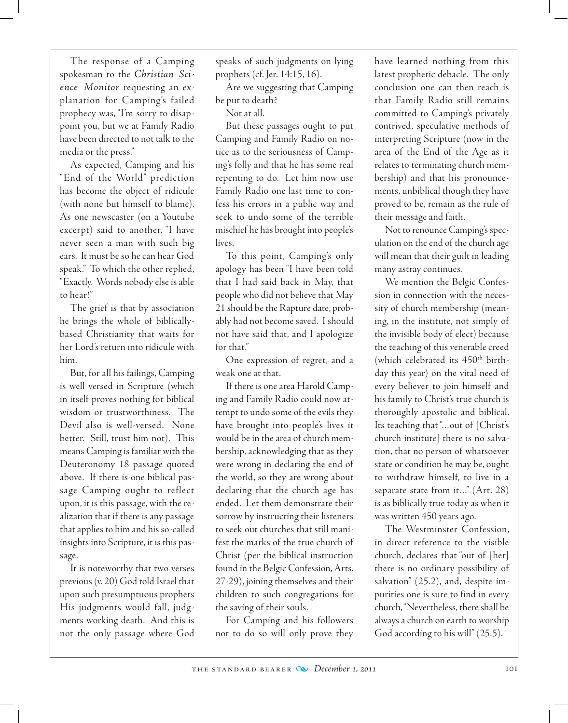The response of a Camping spokesman to the *Christian Science Monitor* requesting an explanation for Camping's failed prophecy was, "I'm sorry to disappoint you, but we at Family Radio have been directed to not talk to the media or the press."

As expected, Camping and his "End of the World" prediction has become the object of ridicule (with none but himself to blame). As one newscaster (on a Youtube excerpt) said to another, "I have never seen a man with such big ears. It must be so he can hear God speak." To which the other replied, "Exactly. Words nobody else is able to hear!"

The grief is that by association he brings the whole of biblicallybased Christianity that waits for her Lord's return into ridicule with him.

But, for all his failings, Camping is well versed in Scripture (which in itself proves nothing for biblical wisdom or trustworthiness. The Devil also is well-versed. None better. Still, trust him not). This means Camping is familiar with the Deuteronomy 18 passage quoted above. If there is one biblical passage Camping ought to reflect upon, it is this passage, with the realization that if there is any passage that applies to him and his so-called insights into Scripture, it is this passage.

It is noteworthy that two verses previous (v. 20) God told Israel that upon such presumptuous prophets His judgments would fall, judgments working death. And this is not the only passage where God speaks of such judgments on lying prophets (cf. Jer. 14:15, 16).

Are we suggesting that Camping be put to death?

Not at all.

But these passages ought to put Camping and Family Radio on notice as to the seriousness of Camping's folly and that he has some real repenting to do. Let him now use Family Radio one last time to confess his errors in a public way and seek to undo some of the terrible mischief he has brought into people's lives.

To this point, Camping's only apology has been "I have been told that I had said back in May, that people who did not believe that May 21 should be the Rapture date, probably had not become saved. I should not have said that, and I apologize for that."

One expression of regret, and a weak one at that.

If there is one area Harold Camping and Family Radio could now attempt to undo some of the evils they have brought into people's lives it would be in the area of church membership, acknowledging that as they were wrong in declaring the end of the world, so they are wrong about declaring that the church age has ended. Let them demonstrate their sorrow by instructing their listeners to seek out churches that still manifest the marks of the true church of Christ (per the biblical instruction found in the Belgic Confession, Arts. 27-29), joining themselves and their children to such congregations for the saving of their souls.

For Camping and his followers not to do so will only prove they have learned nothing from this latest prophetic debacle. The only conclusion one can then reach is that Family Radio still remains committed to Camping's privately contrived, speculative methods of interpreting Scripture (now in the area of the End of the Age as it relates to terminating church membership) and that his pronouncements, unbiblical though they have proved to be, remain as the rule of their message and faith.

Not to renounce Camping's speculation on the end of the church age will mean that their guilt in leading many astray continues.

We mention the Belgic Confession in connection with the necessity of church membership (meaning, in the institute, not simply of the invisible body of elect) because the teaching of this venerable creed (which celebrated its 450<sup>th</sup> birthday this year) on the vital need of every believer to join himself and his family to Christ's true church is thoroughly apostolic and biblical. Its teaching that "…out of [Christ's church institute] there is no salvation, that no person of whatsoever state or condition he may be, ought to withdraw himself, to live in a separate state from it…" (Art. 28) is as biblically true today as when it was written 450 years ago.

The Westminster Confession, in direct reference to the visible church, declares that "out of [her] there is no ordinary possibility of salvation" (25.2), and, despite impurities one is sure to find in every church, "Nevertheless, there shall be always a church on earth to worship God according to his will" (25.5).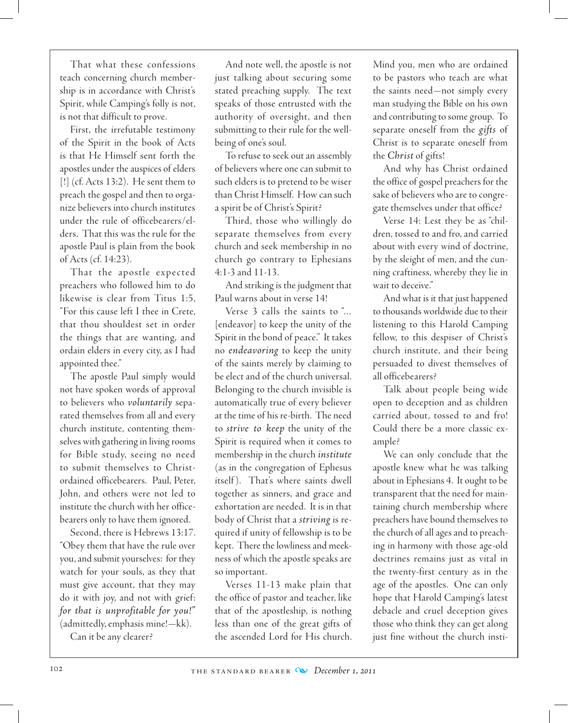That what these confessions teach concerning church membership is in accordance with Christ's Spirit, while Camping's folly is not, is not that difficult to prove.

First, the irrefutable testimony of the Spirit in the book of Acts is that He Himself sent forth the apostles under the auspices of elders [!] (cf. Acts 13:2). He sent them to preach the gospel and then to organize believers into church institutes under the rule of officebearers/elders. That this was the rule for the apostle Paul is plain from the book of Acts (cf. 14:23).

That the apostle expected preachers who followed him to do likewise is clear from Titus 1:5, "For this cause left I thee in Crete, that thou shouldest set in order the things that are wanting, and ordain elders in every city, as I had appointed thee."

The apostle Paul simply would not have spoken words of approval to believers who *voluntarily* separated themselves from all and every church institute, contenting themselves with gathering in living rooms for Bible study, seeing no need to submit themselves to Christordained officebearers. Paul, Peter, John, and others were not led to institute the church with her officebearers only to have them ignored.

Second, there is Hebrews 13:17. "Obey them that have the rule over you, and submit yourselves: for they watch for your souls, as they that must give account, that they may do it with joy, and not with grief: *for that is unprofitable for you!"* (admittedly, emphasis mine!—kk).

Can it be any clearer?

And note well, the apostle is not just talking about securing some stated preaching supply. The text speaks of those entrusted with the authority of oversight, and then submitting to their rule for the wellbeing of one's soul.

To refuse to seek out an assembly of believers where one can submit to such elders is to pretend to be wiser than Christ Himself. How can such a spirit be of Christ's Spirit?

Third, those who willingly do separate themselves from every church and seek membership in no church go contrary to Ephesians 4:1-3 and 11-13.

And striking is the judgment that Paul warns about in verse 14!

Verse 3 calls the saints to "… [endeavor] to keep the unity of the Spirit in the bond of peace." It takes no *endeavoring* to keep the unity of the saints merely by claiming to be elect and of the church universal. Belonging to the church invisible is automatically true of every believer at the time of his re-birth. The need to *strive to keep* the unity of the Spirit is required when it comes to membership in the church *institute* (as in the congregation of Ephesus itself). That's where saints dwell together as sinners, and grace and exhortation are needed. It is in that body of Christ that a *striving* is required if unity of fellowship is to be kept. There the lowliness and meekness of which the apostle speaks are so important.

Verses 11-13 make plain that the office of pastor and teacher, like that of the apostleship, is nothing less than one of the great gifts of the ascended Lord for His church.

Mind you, men who are ordained to be pastors who teach are what the saints need—not simply every man studying the Bible on his own and contributing to some group. To separate oneself from the *gifts* of Christ is to separate oneself from the *Christ* of gifts!

And why has Christ ordained the office of gospel preachers for the sake of believers who are to congregate themselves under that office?

Verse 14: Lest they be as "children, tossed to and fro, and carried about with every wind of doctrine, by the sleight of men, and the cunning craftiness, whereby they lie in wait to deceive."

And what is it that just happened to thousands worldwide due to their listening to this Harold Camping fellow, to this despiser of Christ's church institute, and their being persuaded to divest themselves of all officebearers?

Talk about people being wide open to deception and as children carried about, tossed to and fro! Could there be a more classic example?

We can only conclude that the apostle knew what he was talking about in Ephesians 4. It ought to be transparent that the need for maintaining church membership where preachers have bound themselves to the church of all ages and to preaching in harmony with those age-old doctrines remains just as vital in the twenty-first century as in the age of the apostles. One can only hope that Harold Camping's latest debacle and cruel deception gives those who think they can get along just fine without the church insti-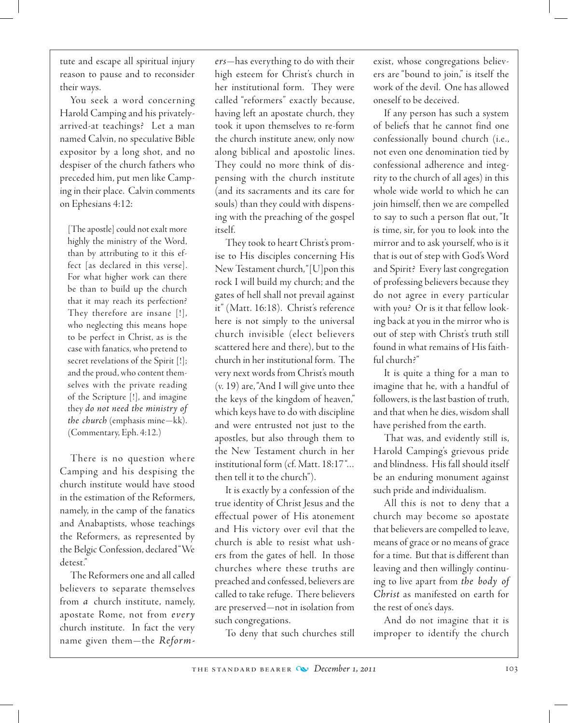tute and escape all spiritual injury reason to pause and to reconsider their ways.

You seek a word concerning Harold Camping and his privatelyarrived-at teachings? Let a man named Calvin, no speculative Bible expositor by a long shot, and no despiser of the church fathers who preceded him, put men like Camping in their place. Calvin comments on Ephesians 4:12:

[The apostle] could not exalt more highly the ministry of the Word, than by attributing to it this effect [as declared in this verse]. For what higher work can there be than to build up the church that it may reach its perfection? They therefore are insane [!], who neglecting this means hope to be perfect in Christ, as is the case with fanatics, who pretend to secret revelations of the Spirit [!]; and the proud, who content themselves with the private reading of the Scripture [!], and imagine they *do not need the ministry of the church* (emphasis mine—kk). (Commentary, Eph. 4:12.)

There is no question where Camping and his despising the church institute would have stood in the estimation of the Reformers, namely, in the camp of the fanatics and Anabaptists, whose teachings the Reformers, as represented by the Belgic Confession, declared "We detest."

The Reformers one and all called believers to separate themselves from *a* church institute, namely, apostate Rome, not from *every* church institute. In fact the very name given them—the *Reform-* *ers*—has everything to do with their high esteem for Christ's church in her institutional form. They were called "reformers" exactly because, having left an apostate church, they took it upon themselves to re-form the church institute anew, only now along biblical and apostolic lines. They could no more think of dispensing with the church institute (and its sacraments and its care for souls) than they could with dispensing with the preaching of the gospel itself.

They took to heart Christ's promise to His disciples concerning His New Testament church, "[U]pon this rock I will build my church; and the gates of hell shall not prevail against it" (Matt. 16:18). Christ's reference here is not simply to the universal church invisible (elect believers scattered here and there), but to the church in her institutional form. The very next words from Christ's mouth (v. 19) are, "And I will give unto thee the keys of the kingdom of heaven," which keys have to do with discipline and were entrusted not just to the apostles, but also through them to the New Testament church in her institutional form (cf. Matt. 18:17 "… then tell it to the church").

It is exactly by a confession of the true identity of Christ Jesus and the effectual power of His atonement and His victory over evil that the church is able to resist what ushers from the gates of hell. In those churches where these truths are preached and confessed, believers are called to take refuge. There believers are preserved—not in isolation from such congregations.

To deny that such churches still

exist, whose congregations believers are "bound to join," is itself the work of the devil. One has allowed oneself to be deceived.

If any person has such a system of beliefs that he cannot find one confessionally bound church (i.e., not even one denomination tied by confessional adherence and integrity to the church of all ages) in this whole wide world to which he can join himself, then we are compelled to say to such a person flat out, "It is time, sir, for you to look into the mirror and to ask yourself, who is it that is out of step with God's Word and Spirit? Every last congregation of professing believers because they do not agree in every particular with you? Or is it that fellow looking back at you in the mirror who is out of step with Christ's truth still found in what remains of His faithful church?"

It is quite a thing for a man to imagine that he, with a handful of followers, is the last bastion of truth, and that when he dies, wisdom shall have perished from the earth.

That was, and evidently still is, Harold Camping's grievous pride and blindness. His fall should itself be an enduring monument against such pride and individualism.

All this is not to deny that a church may become so apostate that believers are compelled to leave, means of grace or no means of grace for a time. But that is different than leaving and then willingly continuing to live apart from *the body of Christ* as manifested on earth for the rest of one's days.

And do not imagine that it is improper to identify the church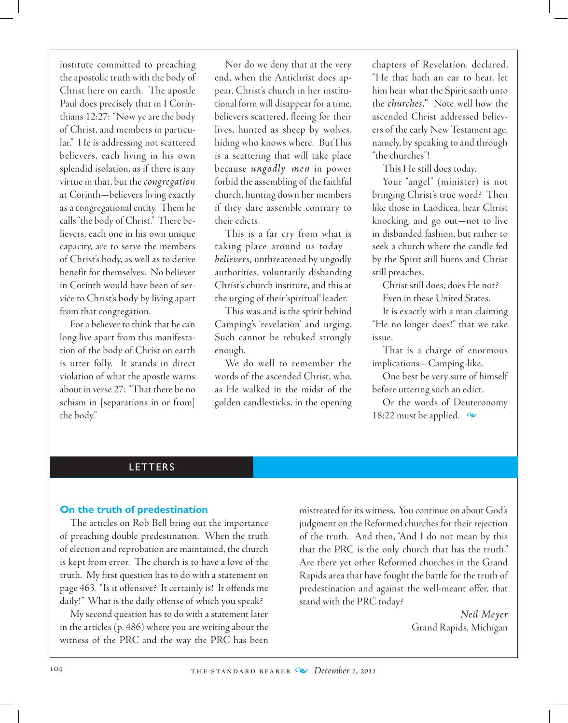institute committed to preaching the apostolic truth with the body of Christ here on earth. The apostle Paul does precisely that in I Corinthians 12:27: "Now ye are the body of Christ, and members in particular." He is addressing not scattered believers, each living in his own splendid isolation, as if there is any virtue in that, but the *congregation* at Corinth—believers living exactly as a congregational entity. Them he calls "the body of Christ." There believers, each one in his own unique capacity, are to serve the members of Christ's body, as well as to derive benefit for themselves. No believer in Corinth would have been of service to Christ's body by living apart from that congregation.

For a believer to think that he can long live apart from this manifestation of the body of Christ on earth is utter folly. It stands in direct violation of what the apostle warns about in verse 27: "That there be no schism in [separations in or from] the body."

Nor do we deny that at the very end, when the Antichrist does appear, Christ's church in her institutional form will disappear for a time, believers scattered, fleeing for their lives, hunted as sheep by wolves, hiding who knows where. ButThis is a scattering that will take place because *ungodly men* in power forbid the assembling of the faithful church, hunting down her members if they dare assemble contrary to their edicts.

This is a far cry from what is taking place around us today *believers,* unthreatened by ungodly authorities, voluntarily disbanding Christ's church institute, and this at the urging of their 'spiritual' leader.

This was and is the spirit behind Camping's 'revelation' and urging. Such cannot be rebuked strongly enough.

We do well to remember the words of the ascended Christ, who, as He walked in the midst of the golden candlesticks, in the opening

chapters of Revelation, declared, "He that hath an ear to hear, let him hear what the Spirit saith unto the *churches."* Note well how the ascended Christ addressed believers of the early New Testament age, namely, by speaking to and through "the churches"!

This He still does today.

Your "angel" (minister) is not bringing Christ's true word? Then like those in Laodicea, hear Christ knocking, and go out—not to live in disbanded fashion, but rather to seek a church where the candle fed by the Spirit still burns and Christ still preaches.

Christ still does, does He not?

Even in these United States.

It is exactly with a man claiming "He no longer does!" that we take issue.

That is a charge of enormous implications—Camping-like.

One best be very sure of himself before uttering such an edict.

Or the words of Deuteronomy 18:22 must be applied.  $\infty$ 

# LETTERS

### **On the truth of predestination**

The articles on Rob Bell bring out the importance of preaching double predestination. When the truth of election and reprobation are maintained, the church is kept from error. The church is to have a love of the truth. My first question has to do with a statement on page 463. "Is it offensive? It certainly is! It offends me daily!" What is the daily offense of which you speak?

 My second question has to do with a statement later in the articles (p. 486) where you are writing about the witness of the PRC and the way the PRC has been mistreated for its witness. You continue on about God's judgment on the Reformed churches for their rejection of the truth. And then, "And I do not mean by this that the PRC is the only church that has the truth." Are there yet other Reformed churches in the Grand Rapids area that have fought the battle for the truth of predestination and against the well-meant offer, that stand with the PRC today?

> *Neil Meyer* Grand Rapids, Michigan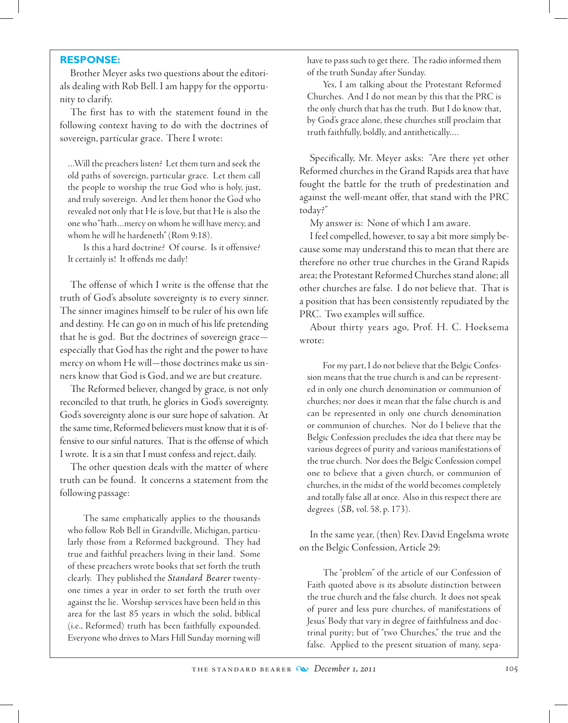#### **RESPONSE:**

Brother Meyer asks two questions about the editorials dealing with Rob Bell. I am happy for the opportunity to clarify.

The first has to with the statement found in the following context having to do with the doctrines of sovereign, particular grace. There I wrote:

…Will the preachers listen? Let them turn and seek the old paths of sovereign, particular grace. Let them call the people to worship the true God who is holy, just, and truly sovereign. And let them honor the God who revealed not only that He is love, but that He is also the one who "hath…mercy on whom he will have mercy, and whom he will he hardeneth" (Rom 9:18).

Is this a hard doctrine? Of course. Is it offensive? It certainly is! It offends me daily!

The offense of which I write is the offense that the truth of God's absolute sovereignty is to every sinner. The sinner imagines himself to be ruler of his own life and destiny. He can go on in much of his life pretending that he is god. But the doctrines of sovereign grace especially that God has the right and the power to have mercy on whom He will—those doctrines make us sinners know that God is God, and we are but creature.

The Reformed believer, changed by grace, is not only reconciled to that truth, he glories in God's sovereignty. God's sovereignty alone is our sure hope of salvation. At the same time, Reformed believers must know that it is offensive to our sinful natures. That is the offense of which I wrote. It is a sin that I must confess and reject, daily.

The other question deals with the matter of where truth can be found. It concerns a statement from the following passage:

The same emphatically applies to the thousands who follow Rob Bell in Grandville, Michigan, particularly those from a Reformed background. They had true and faithful preachers living in their land. Some of these preachers wrote books that set forth the truth clearly. They published the *Standard Bearer* twentyone times a year in order to set forth the truth over against the lie. Worship services have been held in this area for the last 85 years in which the solid, biblical (i.e., Reformed) truth has been faithfully expounded. Everyone who drives to Mars Hill Sunday morning will have to pass such to get there. The radio informed them of the truth Sunday after Sunday.

Yes, I am talking about the Protestant Reformed Churches. And I do not mean by this that the PRC is the only church that has the truth. But I do know that, by God's grace alone, these churches still proclaim that truth faithfully, boldly, and antithetically….

Specifically, Mr. Meyer asks: "Are there yet other Reformed churches in the Grand Rapids area that have fought the battle for the truth of predestination and against the well-meant offer, that stand with the PRC today?"

My answer is: None of which I am aware.

I feel compelled, however, to say a bit more simply because some may understand this to mean that there are therefore no other true churches in the Grand Rapids area; the Protestant Reformed Churches stand alone; all other churches are false. I do not believe that. That is a position that has been consistently repudiated by the PRC. Two examples will suffice.

About thirty years ago, Prof. H. C. Hoeksema wrote:

For my part, I do not believe that the Belgic Confession means that the true church is and can be represented in only one church denomination or communion of churches; nor does it mean that the false church is and can be represented in only one church denomination or communion of churches. Nor do I believe that the Belgic Confession precludes the idea that there may be various degrees of purity and various manifestations of the true church. Nor does the Belgic Confession compel one to believe that a given church, or communion of churches, in the midst of the world becomes completely and totally false all at once. Also in this respect there are degrees (*SB,* vol. 58, p. 173).

In the same year, (then) Rev. David Engelsma wrote on the Belgic Confession, Article 29:

The "problem" of the article of our Confession of Faith quoted above is its absolute distinction between the true church and the false church. It does not speak of purer and less pure churches, of manifestations of Jesus' Body that vary in degree of faithfulness and doctrinal purity; but of "two Churches," the true and the false. Applied to the present situation of many, sepa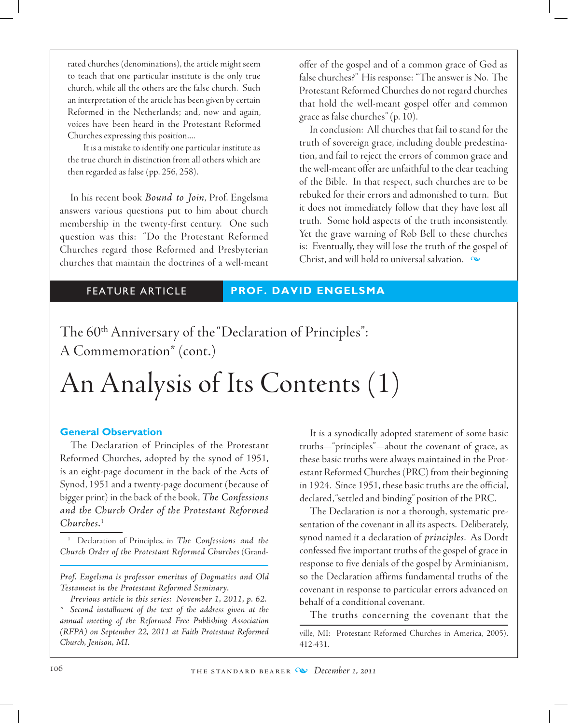rated churches (denominations), the article might seem to teach that one particular institute is the only true church, while all the others are the false church. Such an interpretation of the article has been given by certain Reformed in the Netherlands; and, now and again, voices have been heard in the Protestant Reformed Churches expressing this position....

It is a mistake to identify one particular institute as the true church in distinction from all others which are then regarded as false (pp. 256, 258).

In his recent book *Bound to Join*, Prof. Engelsma answers various questions put to him about church membership in the twenty-first century. One such question was this: "Do the Protestant Reformed Churches regard those Reformed and Presbyterian churches that maintain the doctrines of a well-meant

offer of the gospel and of a common grace of God as false churches?" His response: "The answer is No. The Protestant Reformed Churches do not regard churches that hold the well-meant gospel offer and common grace as false churches" (p. 10).

In conclusion: All churches that fail to stand for the truth of sovereign grace, including double predestination, and fail to reject the errors of common grace and the well-meant offer are unfaithful to the clear teaching of the Bible. In that respect, such churches are to be rebuked for their errors and admonished to turn. But it does not immediately follow that they have lost all truth. Some hold aspects of the truth inconsistently. Yet the grave warning of Rob Bell to these churches is: Eventually, they will lose the truth of the gospel of Christ, and will hold to universal salvation.  $\infty$ 

#### FEATURE ARTICLE **PROF. DAVID ENGELSMA**

The 60<sup>th</sup> Anniversary of the "Declaration of Principles": A Commemoration\* (cont.)

# An Analysis of Its Contents (1)

### **General Observation**

The Declaration of Principles of the Protestant Reformed Churches, adopted by the synod of 1951, is an eight-page document in the back of the Acts of Synod, 1951 and a twenty-page document (because of bigger print) in the back of the book, *The Confessions and the Church Order of the Protestant Reformed Churches.*<sup>1</sup>

<sup>1</sup> Declaration of Principles, in *The Confessions and the Church Order of the Protestant Reformed Churches* (Grand-

*Prof. Engelsma is professor emeritus of Dogmatics and Old Testament in the Protestant Reformed Seminary.*

*Previous article in this series: November 1, 2011, p. 62.*

*\* Second installment of the text of the address given at the annual meeting of the Reformed Free Publishing Association (RFPA) on September 22, 2011 at Faith Protestant Reformed Church, Jenison, MI.* 

It is a synodically adopted statement of some basic truths—"principles"—about the covenant of grace, as these basic truths were always maintained in the Protestant Reformed Churches (PRC) from their beginning in 1924. Since 1951, these basic truths are the official, declared, "settled and binding" position of the PRC.

The Declaration is not a thorough, systematic presentation of the covenant in all its aspects. Deliberately, synod named it a declaration of *principles*. As Dordt confessed five important truths of the gospel of grace in response to five denials of the gospel by Arminianism, so the Declaration affirms fundamental truths of the covenant in response to particular errors advanced on behalf of a conditional covenant.

The truths concerning the covenant that the

ville, MI: Protestant Reformed Churches in America, 2005), 412-431.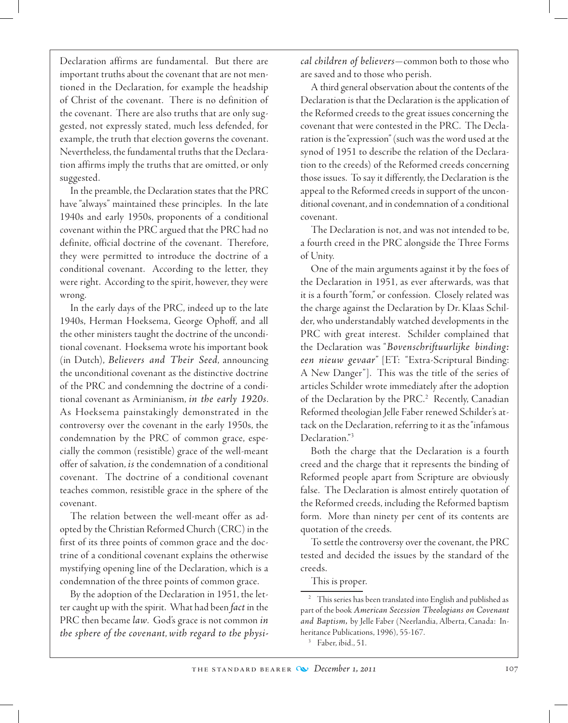Declaration affirms are fundamental. But there are important truths about the covenant that are not mentioned in the Declaration, for example the headship of Christ of the covenant. There is no definition of the covenant. There are also truths that are only suggested, not expressly stated, much less defended, for example, the truth that election governs the covenant. Nevertheless, the fundamental truths that the Declaration affirms imply the truths that are omitted, or only suggested.

In the preamble, the Declaration states that the PRC have "always" maintained these principles. In the late 1940s and early 1950s, proponents of a conditional covenant within the PRC argued that the PRC had no definite, official doctrine of the covenant. Therefore, they were permitted to introduce the doctrine of a conditional covenant. According to the letter, they were right. According to the spirit, however, they were wrong.

In the early days of the PRC, indeed up to the late 1940s, Herman Hoeksema, George Ophoff, and all the other ministers taught the doctrine of the unconditional covenant. Hoeksema wrote his important book (in Dutch), *Believers and Their Seed*, announcing the unconditional covenant as the distinctive doctrine of the PRC and condemning the doctrine of a conditional covenant as Arminianism, *in the early 1920s*. As Hoeksema painstakingly demonstrated in the controversy over the covenant in the early 1950s, the condemnation by the PRC of common grace, especially the common (resistible) grace of the well-meant offer of salvation, *is* the condemnation of a conditional covenant. The doctrine of a conditional covenant teaches common, resistible grace in the sphere of the covenant.

The relation between the well-meant offer as adopted by the Christian Reformed Church (CRC) in the first of its three points of common grace and the doctrine of a conditional covenant explains the otherwise mystifying opening line of the Declaration, which is a condemnation of the three points of common grace.

By the adoption of the Declaration in 1951, the letter caught up with the spirit. What had been *fact* in the PRC then became *law*. God's grace is not common *in the sphere of the covenant*, *with regard to the physi-* *cal children of believers*—common both to those who are saved and to those who perish.

A third general observation about the contents of the Declaration is that the Declaration is the application of the Reformed creeds to the great issues concerning the covenant that were contested in the PRC. The Declaration is the "expression" (such was the word used at the synod of 1951 to describe the relation of the Declaration to the creeds) of the Reformed creeds concerning those issues. To say it differently, the Declaration is the appeal to the Reformed creeds in support of the unconditional covenant, and in condemnation of a conditional covenant.

The Declaration is not, and was not intended to be, a fourth creed in the PRC alongside the Three Forms of Unity.

One of the main arguments against it by the foes of the Declaration in 1951, as ever afterwards, was that it is a fourth "form," or confession. Closely related was the charge against the Declaration by Dr. Klaas Schilder, who understandably watched developments in the PRC with great interest. Schilder complained that the Declaration was "*Bovenschriftuurlijke binding: een nieuw gevaar*" [ET: "Extra-Scriptural Binding: A New Danger"]. This was the title of the series of articles Schilder wrote immediately after the adoption of the Declaration by the PRC.<sup>2</sup> Recently, Canadian Reformed theologian Jelle Faber renewed Schilder's attack on the Declaration, referring to it as the "infamous Declaration."<sup>3</sup>

Both the charge that the Declaration is a fourth creed and the charge that it represents the binding of Reformed people apart from Scripture are obviously false. The Declaration is almost entirely quotation of the Reformed creeds, including the Reformed baptism form. More than ninety per cent of its contents are quotation of the creeds.

To settle the controversy over the covenant, the PRC tested and decided the issues by the standard of the creeds.

This is proper.

<sup>&</sup>lt;sup>2</sup> This series has been translated into English and published as part of the book *American Secession Theologians on Covenant and Baptism,* by Jelle Faber (Neerlandia, Alberta, Canada: Inheritance Publications, 1996), 55-167.

 $3$  Faber, ibid., 51.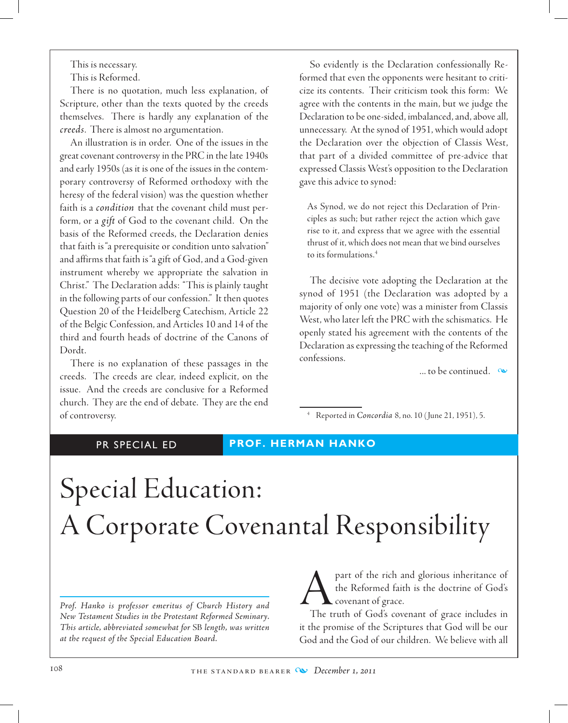This is necessary.

This is Reformed.

There is no quotation, much less explanation, of Scripture, other than the texts quoted by the creeds themselves. There is hardly any explanation of the *creeds*. There is almost no argumentation.

An illustration is in order. One of the issues in the great covenant controversy in the PRC in the late 1940s and early 1950s (as it is one of the issues in the contemporary controversy of Reformed orthodoxy with the heresy of the federal vision) was the question whether faith is a *condition* that the covenant child must perform, or a *gift* of God to the covenant child. On the basis of the Reformed creeds, the Declaration denies that faith is "a prerequisite or condition unto salvation" and affirms that faith is "a gift of God, and a God-given instrument whereby we appropriate the salvation in Christ." The Declaration adds: "This is plainly taught in the following parts of our confession." It then quotes Question 20 of the Heidelberg Catechism, Article 22 of the Belgic Confession, and Articles 10 and 14 of the third and fourth heads of doctrine of the Canons of Dordt.

There is no explanation of these passages in the creeds. The creeds are clear, indeed explicit, on the issue. And the creeds are conclusive for a Reformed church. They are the end of debate. They are the end of controversy.

So evidently is the Declaration confessionally Reformed that even the opponents were hesitant to criticize its contents. Their criticism took this form: We agree with the contents in the main, but we judge the Declaration to be one-sided, imbalanced, and, above all, unnecessary. At the synod of 1951, which would adopt the Declaration over the objection of Classis West, that part of a divided committee of pre-advice that expressed Classis West's opposition to the Declaration gave this advice to synod:

As Synod, we do not reject this Declaration of Principles as such; but rather reject the action which gave rise to it, and express that we agree with the essential thrust of it, which does not mean that we bind ourselves to its formulations.4

The decisive vote adopting the Declaration at the synod of 1951 (the Declaration was adopted by a majority of only one vote) was a minister from Classis West, who later left the PRC with the schismatics. He openly stated his agreement with the contents of the Declaration as expressing the teaching of the Reformed confessions.

... to be continued.  $\infty$ 

<sup>4</sup> Reported in *Concordia* 8, no. 10 ( June 21, 1951), 5.

## PR SPECIAL ED **PROF. HERMAN HANKO**

# Special Education: A Corporate Covenantal Responsibility

*Prof. Hanko is professor emeritus of Church History and New Testament Studies in the Protestant Reformed Seminary. This article, abbreviated somewhat for* SB *length, was written at the request of the Special Education Board.*

part of the rich and glorious inheritance of<br>the Reformed faith is the doctrine of God's<br>The truth of God's covenant of grace includes in the Reformed faith is the doctrine of God's covenant of grace.

The truth of God's covenant of grace includes in it the promise of the Scriptures that God will be our God and the God of our children. We believe with all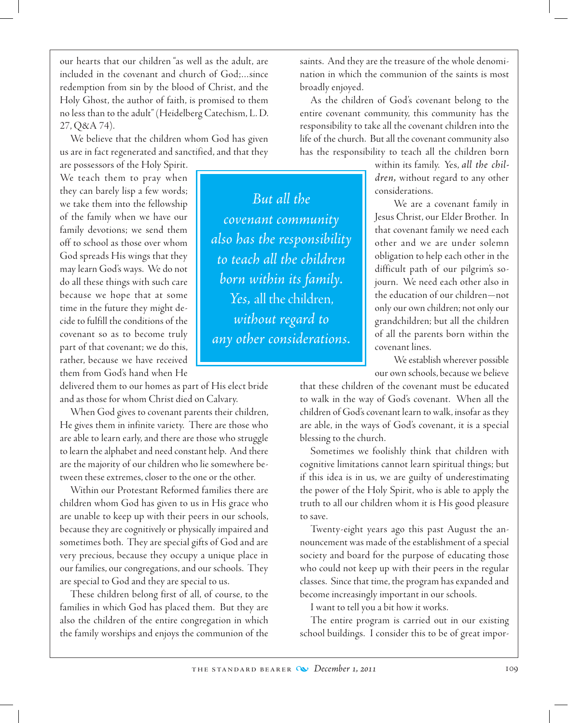our hearts that our children "as well as the adult, are included in the covenant and church of God;…since redemption from sin by the blood of Christ, and the Holy Ghost, the author of faith, is promised to them no less than to the adult" (Heidelberg Catechism, L. D. 27, Q&A 74).

We believe that the children whom God has given us are in fact regenerated and sanctified, and that they

are possessors of the Holy Spirit. We teach them to pray when they can barely lisp a few words; we take them into the fellowship of the family when we have our family devotions; we send them off to school as those over whom God spreads His wings that they may learn God's ways. We do not do all these things with such care because we hope that at some time in the future they might decide to fulfill the conditions of the covenant so as to become truly part of that covenant; we do this, rather, because we have received them from God's hand when He

delivered them to our homes as part of His elect bride and as those for whom Christ died on Calvary.

When God gives to covenant parents their children, He gives them in infinite variety. There are those who are able to learn early, and there are those who struggle to learn the alphabet and need constant help. And there are the majority of our children who lie somewhere between these extremes, closer to the one or the other.

Within our Protestant Reformed families there are children whom God has given to us in His grace who are unable to keep up with their peers in our schools, because they are cognitively or physically impaired and sometimes both. They are special gifts of God and are very precious, because they occupy a unique place in our families, our congregations, and our schools. They are special to God and they are special to us.

These children belong first of all, of course, to the families in which God has placed them. But they are also the children of the entire congregation in which the family worships and enjoys the communion of the

saints. And they are the treasure of the whole denomination in which the communion of the saints is most broadly enjoyed.

As the children of God's covenant belong to the entire covenant community, this community has the responsibility to take all the covenant children into the life of the church. But all the covenant community also has the responsibility to teach all the children born

> within its family. Yes, *all the children,* without regard to any other considerations.

> We are a covenant family in Jesus Christ, our Elder Brother. In that covenant family we need each other and we are under solemn obligation to help each other in the difficult path of our pilgrim's sojourn. We need each other also in the education of our children—not only our own children; not only our grandchildren; but all the children of all the parents born within the covenant lines.

> We establish wherever possible our own schools, because we believe

that these children of the covenant must be educated to walk in the way of God's covenant. When all the children of God's covenant learn to walk, insofar as they are able, in the ways of God's covenant, it is a special blessing to the church.

Sometimes we foolishly think that children with cognitive limitations cannot learn spiritual things; but if this idea is in us, we are guilty of underestimating the power of the Holy Spirit, who is able to apply the truth to all our children whom it is His good pleasure to save.

Twenty-eight years ago this past August the announcement was made of the establishment of a special society and board for the purpose of educating those who could not keep up with their peers in the regular classes. Since that time, the program has expanded and become increasingly important in our schools.

I want to tell you a bit how it works.

The entire program is carried out in our existing school buildings. I consider this to be of great impor-

*But all the covenant community also has the responsibility to teach all the children born within its family. Yes,* all the children, *without regard to any other considerations.*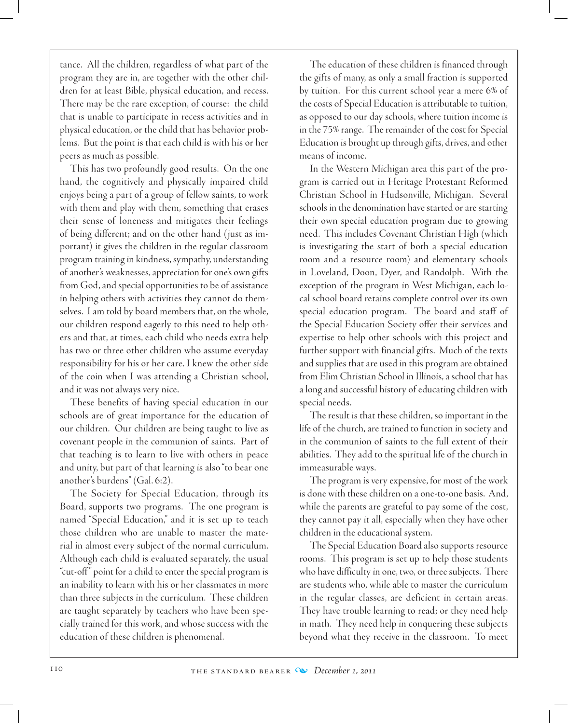tance. All the children, regardless of what part of the program they are in, are together with the other children for at least Bible, physical education, and recess. There may be the rare exception, of course: the child that is unable to participate in recess activities and in physical education, or the child that has behavior problems. But the point is that each child is with his or her peers as much as possible.

This has two profoundly good results. On the one hand, the cognitively and physically impaired child enjoys being a part of a group of fellow saints, to work with them and play with them, something that erases their sense of loneness and mitigates their feelings of being different; and on the other hand (just as important) it gives the children in the regular classroom program training in kindness, sympathy, understanding of another's weaknesses, appreciation for one's own gifts from God, and special opportunities to be of assistance in helping others with activities they cannot do themselves. I am told by board members that, on the whole, our children respond eagerly to this need to help others and that, at times, each child who needs extra help has two or three other children who assume everyday responsibility for his or her care. I knew the other side of the coin when I was attending a Christian school, and it was not always very nice.

These benefits of having special education in our schools are of great importance for the education of our children. Our children are being taught to live as covenant people in the communion of saints. Part of that teaching is to learn to live with others in peace and unity, but part of that learning is also "to bear one another's burdens" (Gal. 6:2).

The Society for Special Education, through its Board, supports two programs. The one program is named "Special Education," and it is set up to teach those children who are unable to master the material in almost every subject of the normal curriculum. Although each child is evaluated separately, the usual "cut-off " point for a child to enter the special program is an inability to learn with his or her classmates in more than three subjects in the curriculum. These children are taught separately by teachers who have been specially trained for this work, and whose success with the education of these children is phenomenal.

The education of these children is financed through the gifts of many, as only a small fraction is supported by tuition. For this current school year a mere 6% of the costs of Special Education is attributable to tuition, as opposed to our day schools, where tuition income is in the 75% range. The remainder of the cost for Special Education is brought up through gifts, drives, and other means of income.

In the Western Michigan area this part of the program is carried out in Heritage Protestant Reformed Christian School in Hudsonville, Michigan. Several schools in the denomination have started or are starting their own special education program due to growing need. This includes Covenant Christian High (which is investigating the start of both a special education room and a resource room) and elementary schools in Loveland, Doon, Dyer, and Randolph. With the exception of the program in West Michigan, each local school board retains complete control over its own special education program. The board and staff of the Special Education Society offer their services and expertise to help other schools with this project and further support with financial gifts. Much of the texts and supplies that are used in this program are obtained from Elim Christian School in Illinois, a school that has a long and successful history of educating children with special needs.

The result is that these children, so important in the life of the church, are trained to function in society and in the communion of saints to the full extent of their abilities. They add to the spiritual life of the church in immeasurable ways.

The program is very expensive, for most of the work is done with these children on a one-to-one basis. And, while the parents are grateful to pay some of the cost, they cannot pay it all, especially when they have other children in the educational system.

The Special Education Board also supports resource rooms. This program is set up to help those students who have difficulty in one, two, or three subjects. There are students who, while able to master the curriculum in the regular classes, are deficient in certain areas. They have trouble learning to read; or they need help in math. They need help in conquering these subjects beyond what they receive in the classroom. To meet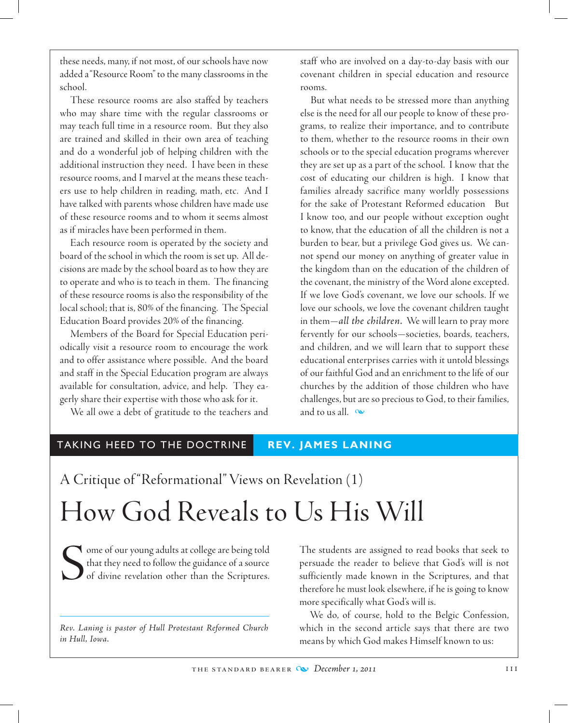these needs, many, if not most, of our schools have now added a "Resource Room" to the many classrooms in the school.

These resource rooms are also staffed by teachers who may share time with the regular classrooms or may teach full time in a resource room. But they also are trained and skilled in their own area of teaching and do a wonderful job of helping children with the additional instruction they need. I have been in these resource rooms, and I marvel at the means these teachers use to help children in reading, math, etc. And I have talked with parents whose children have made use of these resource rooms and to whom it seems almost as if miracles have been performed in them.

Each resource room is operated by the society and board of the school in which the room is set up. All decisions are made by the school board as to how they are to operate and who is to teach in them. The financing of these resource rooms is also the responsibility of the local school; that is, 80% of the financing. The Special Education Board provides 20% of the financing.

 Members of the Board for Special Education periodically visit a resource room to encourage the work and to offer assistance where possible. And the board and staff in the Special Education program are always available for consultation, advice, and help. They eagerly share their expertise with those who ask for it.

We all owe a debt of gratitude to the teachers and

staff who are involved on a day-to-day basis with our covenant children in special education and resource rooms.

But what needs to be stressed more than anything else is the need for all our people to know of these programs, to realize their importance, and to contribute to them, whether to the resource rooms in their own schools or to the special education programs wherever they are set up as a part of the school. I know that the cost of educating our children is high. I know that families already sacrifice many worldly possessions for the sake of Protestant Reformed education But I know too, and our people without exception ought to know, that the education of all the children is not a burden to bear, but a privilege God gives us. We cannot spend our money on anything of greater value in the kingdom than on the education of the children of the covenant, the ministry of the Word alone excepted. If we love God's covenant, we love our schools. If we love our schools, we love the covenant children taught in them—*all the children.* We will learn to pray more fervently for our schools—societies, boards, teachers, and children, and we will learn that to support these educational enterprises carries with it untold blessings of our faithful God and an enrichment to the life of our churches by the addition of those children who have challenges, but are so precious to God, to their families, and to us all.  $\infty$ 

# TAKING HEED TO THE DOCTRINE **REV. JAMES LANING**

A Critique of "Reformational" Views on Revelation (1)

# How God Reveals to Us His Will

Some of our young adults at college are being told<br>that they need to follow the guidance of a source<br>of divine revelation other than the Scriptures. that they need to follow the guidance of a source of divine revelation other than the Scriptures.

*Rev. Laning is pastor of Hull Protestant Reformed Church in Hull, Iowa.*

The students are assigned to read books that seek to persuade the reader to believe that God's will is not sufficiently made known in the Scriptures, and that therefore he must look elsewhere, if he is going to know more specifically what God's will is.

We do, of course, hold to the Belgic Confession, which in the second article says that there are two means by which God makes Himself known to us: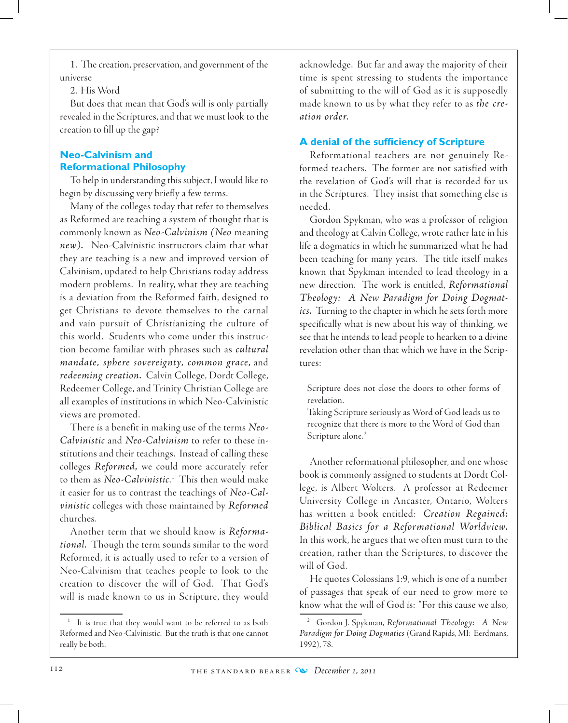1. The creation, preservation, and government of the universe

### 2. His Word

But does that mean that God's will is only partially revealed in the Scriptures, and that we must look to the creation to fill up the gap?

# **Neo-Calvinism and Reformational Philosophy**

To help in understanding this subject, I would like to begin by discussing very briefly a few terms.

 Many of the colleges today that refer to themselves as Reformed are teaching a system of thought that is commonly known as *Neo-Calvinism (Neo* meaning *new).* Neo-Calvinistic instructors claim that what they are teaching is a new and improved version of Calvinism, updated to help Christians today address modern problems. In reality, what they are teaching is a deviation from the Reformed faith, designed to get Christians to devote themselves to the carnal and vain pursuit of Christianizing the culture of this world. Students who come under this instruction become familiar with phrases such as *cultural mandate, sphere sovereignty, common grace,* and *redeeming creation.* Calvin College, Dordt College, Redeemer College, and Trinity Christian College are all examples of institutions in which Neo-Calvinistic views are promoted.

There is a benefit in making use of the terms *Neo-Calvinistic* and *Neo-Calvinism* to refer to these institutions and their teachings. Instead of calling these colleges *Reformed,* we could more accurately refer to them as *Neo-Calvinistic*. 1 This then would make it easier for us to contrast the teachings of *Neo-Calvinistic* colleges with those maintained by *Reformed* churches.

Another term that we should know is *Reformational.* Though the term sounds similar to the word Reformed, it is actually used to refer to a version of Neo-Calvinism that teaches people to look to the creation to discover the will of God. That God's will is made known to us in Scripture, they would acknowledge. But far and away the majority of their time is spent stressing to students the importance of submitting to the will of God as it is supposedly made known to us by what they refer to as *the creation order.*

# **A denial of the sufficiency of Scripture**

Reformational teachers are not genuinely Reformed teachers. The former are not satisfied with the revelation of God's will that is recorded for us in the Scriptures. They insist that something else is needed.

Gordon Spykman, who was a professor of religion and theology at Calvin College, wrote rather late in his life a dogmatics in which he summarized what he had been teaching for many years. The title itself makes known that Spykman intended to lead theology in a new direction. The work is entitled, *Reformational Theology: A New Paradigm for Doing Dogmatics.* Turning to the chapter in which he sets forth more specifically what is new about his way of thinking, we see that he intends to lead people to hearken to a divine revelation other than that which we have in the Scriptures:

Scripture does not close the doors to other forms of revelation.

Taking Scripture seriously as Word of God leads us to recognize that there is more to the Word of God than Scripture alone.<sup>2</sup>

Another reformational philosopher, and one whose book is commonly assigned to students at Dordt College, is Albert Wolters. A professor at Redeemer University College in Ancaster, Ontario, Wolters has written a book entitled: *Creation Regained: Biblical Basics for a Reformational Worldview.*  In this work, he argues that we often must turn to the creation, rather than the Scriptures, to discover the will of God.

He quotes Colossians 1:9, which is one of a number of passages that speak of our need to grow more to know what the will of God is: "For this cause we also,

It is true that they would want to be referred to as both Reformed and Neo-Calvinistic. But the truth is that one cannot really be both.

<sup>2</sup> Gordon J. Spykman, *Reformational Theology: A New Paradigm for Doing Dogmatics* (Grand Rapids, MI: Eerdmans, 1992), 78.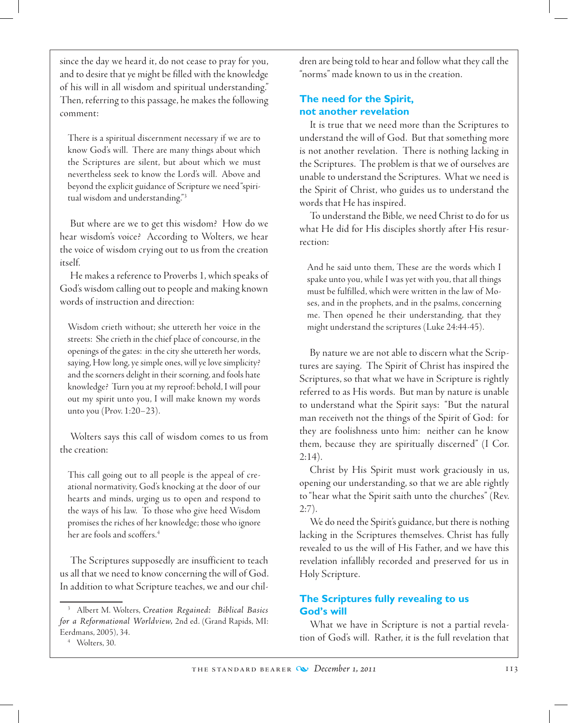since the day we heard it, do not cease to pray for you, and to desire that ye might be filled with the knowledge of his will in all wisdom and spiritual understanding." Then, referring to this passage, he makes the following comment:

There is a spiritual discernment necessary if we are to know God's will. There are many things about which the Scriptures are silent, but about which we must nevertheless seek to know the Lord's will. Above and beyond the explicit guidance of Scripture we need "spiritual wisdom and understanding."3

But where are we to get this wisdom? How do we hear wisdom's voice? According to Wolters, we hear the voice of wisdom crying out to us from the creation itself.

He makes a reference to Proverbs 1, which speaks of God's wisdom calling out to people and making known words of instruction and direction:

Wisdom crieth without; she uttereth her voice in the streets: She crieth in the chief place of concourse, in the openings of the gates: in the city she uttereth her words, saying, How long, ye simple ones, will ye love simplicity? and the scorners delight in their scorning, and fools hate knowledge? Turn you at my reproof: behold, I will pour out my spirit unto you, I will make known my words unto you (Prov. 1:20–23).

Wolters says this call of wisdom comes to us from the creation:

This call going out to all people is the appeal of creational normativity, God's knocking at the door of our hearts and minds, urging us to open and respond to the ways of his law. To those who give heed Wisdom promises the riches of her knowledge; those who ignore her are fools and scoffers.4

The Scriptures supposedly are insufficient to teach us all that we need to know concerning the will of God. In addition to what Scripture teaches, we and our children are being told to hear and follow what they call the "norms" made known to us in the creation.

### **The need for the Spirit, not another revelation**

It is true that we need more than the Scriptures to understand the will of God. But that something more is not another revelation. There is nothing lacking in the Scriptures. The problem is that we of ourselves are unable to understand the Scriptures. What we need is the Spirit of Christ, who guides us to understand the words that He has inspired.

To understand the Bible, we need Christ to do for us what He did for His disciples shortly after His resurrection:

And he said unto them, These are the words which I spake unto you, while I was yet with you, that all things must be fulfilled, which were written in the law of Moses, and in the prophets, and in the psalms, concerning me. Then opened he their understanding, that they might understand the scriptures (Luke 24:44-45).

By nature we are not able to discern what the Scriptures are saying. The Spirit of Christ has inspired the Scriptures, so that what we have in Scripture is rightly referred to as His words. But man by nature is unable to understand what the Spirit says: "But the natural man receiveth not the things of the Spirit of God: for they are foolishness unto him: neither can he know them, because they are spiritually discerned" (I Cor.  $2:14$ ).

Christ by His Spirit must work graciously in us, opening our understanding, so that we are able rightly to "hear what the Spirit saith unto the churches" (Rev.  $2:7$ ).

We do need the Spirit's guidance, but there is nothing lacking in the Scriptures themselves. Christ has fully revealed to us the will of His Father, and we have this revelation infallibly recorded and preserved for us in Holy Scripture.

# **The Scriptures fully revealing to us God's will**

What we have in Scripture is not a partial revelation of God's will. Rather, it is the full revelation that

<sup>3</sup> Albert M. Wolters, *Creation Regained: Biblical Basics for a Reformational Worldview,* 2nd ed. (Grand Rapids, MI: Eerdmans, 2005), 34.

<sup>4</sup> Wolters, 30.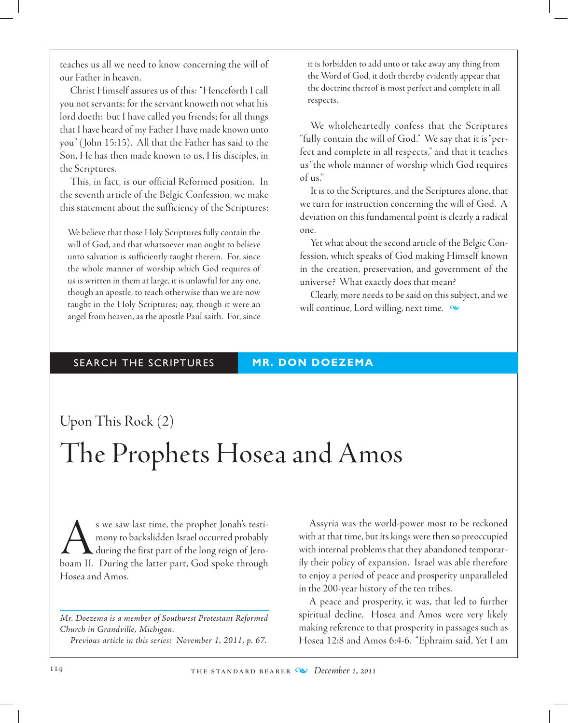teaches us all we need to know concerning the will of our Father in heaven.

Christ Himself assures us of this: "Henceforth I call you not servants; for the servant knoweth not what his lord doeth: but I have called you friends; for all things that I have heard of my Father I have made known unto you" ( John 15:15). All that the Father has said to the Son, He has then made known to us, His disciples, in the Scriptures.

This, in fact, is our official Reformed position. In the seventh article of the Belgic Confession, we make this statement about the sufficiency of the Scriptures:

We believe that those Holy Scriptures fully contain the will of God, and that whatsoever man ought to believe unto salvation is sufficiently taught therein. For, since the whole manner of worship which God requires of us is written in them at large, it is unlawful for any one, though an apostle, to teach otherwise than we are now taught in the Holy Scriptures; nay, though it were an angel from heaven, as the apostle Paul saith. For, since

it is forbidden to add unto or take away any thing from the Word of God, it doth thereby evidently appear that the doctrine thereof is most perfect and complete in all respects.

We wholeheartedly confess that the Scriptures "fully contain the will of God." We say that it is "perfect and complete in all respects," and that it teaches us "the whole manner of worship which God requires of us."

It is to the Scriptures, and the Scriptures alone, that we turn for instruction concerning the will of God. A deviation on this fundamental point is clearly a radical one.

Yet what about the second article of the Belgic Confession, which speaks of God making Himself known in the creation, preservation, and government of the universe? What exactly does that mean?

Clearly, more needs to be said on this subject, and we will continue, Lord willing, next time.  $\infty$ 

# SEARCH THE SCRIPTURES **MR. DON DOEZEMA**

# Upon This Rock (2) The Prophets Hosea and Amos

s we saw last time, the prophet Jonah's testi-<br>mony to backslidden Israel occurred probably<br>during the first part of the long reign of Jero-<br>boam II. During the latter part. God spoke through mony to backslidden Israel occurred probably during the first part of the long reign of Jeroboam II. During the latter part, God spoke through Hosea and Amos.

*Mr. Doezema is a member of Southwest Protestant Reformed Church in Grandville, Michigan. Previous article in this series: November 1, 2011, p. 67.*

Assyria was the world-power most to be reckoned with at that time, but its kings were then so preoccupied with internal problems that they abandoned temporarily their policy of expansion. Israel was able therefore to enjoy a period of peace and prosperity unparalleled in the 200-year history of the ten tribes.

A peace and prosperity, it was, that led to further spiritual decline. Hosea and Amos were very likely making reference to that prosperity in passages such as Hosea 12:8 and Amos 6:4-6. "Ephraim said, Yet I am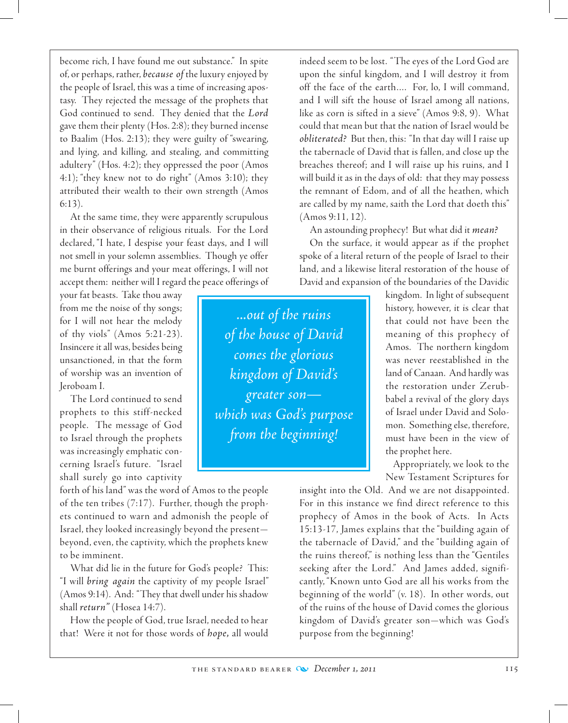become rich, I have found me out substance." In spite of, or perhaps, rather, *because of* the luxury enjoyed by the people of Israel, this was a time of increasing apostasy. They rejected the message of the prophets that God continued to send. They denied that the *Lord* gave them their plenty (Hos. 2:8); they burned incense to Baalim (Hos. 2:13); they were guilty of "swearing, and lying, and killing, and stealing, and committing adultery" (Hos. 4:2); they oppressed the poor (Amos 4:1); "they knew not to do right" (Amos 3:10); they attributed their wealth to their own strength (Amos 6:13).

At the same time, they were apparently scrupulous in their observance of religious rituals. For the Lord declared, "I hate, I despise your feast days, and I will not smell in your solemn assemblies. Though ye offer me burnt offerings and your meat offerings, I will not accept them: neither will I regard the peace offerings of

your fat beasts. Take thou away from me the noise of thy songs; for I will not hear the melody of thy viols" (Amos 5:21-23). Insincere it all was, besides being unsanctioned, in that the form of worship was an invention of Jeroboam I.

The Lord continued to send prophets to this stiff-necked people. The message of God to Israel through the prophets was increasingly emphatic concerning Israel's future. "Israel shall surely go into captivity

forth of his land" was the word of Amos to the people of the ten tribes (7:17). Further, though the prophets continued to warn and admonish the people of Israel, they looked increasingly beyond the present beyond, even, the captivity, which the prophets knew to be imminent.

What did lie in the future for God's people? This: "I will *bring again* the captivity of my people Israel" (Amos 9:14). And: "They that dwell under his shadow shall *return"* (Hosea 14:7).

How the people of God, true Israel, needed to hear that! Were it not for those words of *hope,* all would indeed seem to be lost. "The eyes of the Lord God are upon the sinful kingdom, and I will destroy it from off the face of the earth…. For, lo, I will command, and I will sift the house of Israel among all nations, like as corn is sifted in a sieve" (Amos 9:8, 9). What could that mean but that the nation of Israel would be *obliterated?* But then, this: "In that day will I raise up the tabernacle of David that is fallen, and close up the breaches thereof; and I will raise up his ruins, and I will build it as in the days of old: that they may possess the remnant of Edom, and of all the heathen, which are called by my name, saith the Lord that doeth this" (Amos 9:11, 12).

An astounding prophecy! But what did it *mean?*

On the surface, it would appear as if the prophet spoke of a literal return of the people of Israel to their land, and a likewise literal restoration of the house of David and expansion of the boundaries of the Davidic

*...out of the ruins of the house of David comes the glorious kingdom of David's greater son which was God's purpose from the beginning!*

kingdom. In light of subsequent history, however, it is clear that that could not have been the meaning of this prophecy of Amos. The northern kingdom was never reestablished in the land of Canaan. And hardly was the restoration under Zerubbabel a revival of the glory days of Israel under David and Solomon. Something else, therefore, must have been in the view of the prophet here.

Appropriately, we look to the New Testament Scriptures for

insight into the Old. And we are not disappointed. For in this instance we find direct reference to this prophecy of Amos in the book of Acts. In Acts 15:13-17, James explains that the "building again of the tabernacle of David," and the "building again of the ruins thereof," is nothing less than the "Gentiles seeking after the Lord." And James added, significantly, "Known unto God are all his works from the beginning of the world" (v. 18). In other words, out of the ruins of the house of David comes the glorious kingdom of David's greater son—which was God's purpose from the beginning!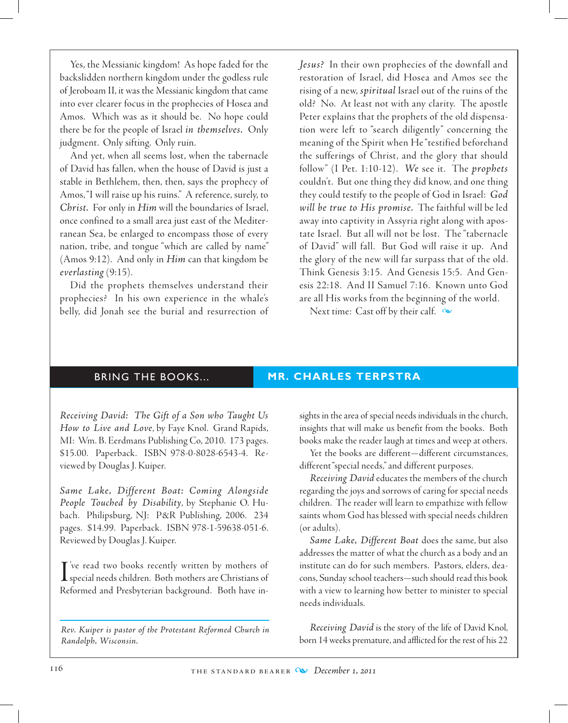Yes, the Messianic kingdom! As hope faded for the backslidden northern kingdom under the godless rule of Jeroboam II, it was the Messianic kingdom that came into ever clearer focus in the prophecies of Hosea and Amos. Which was as it should be. No hope could there be for the people of Israel *in themselves.* Only judgment. Only sifting. Only ruin.

And yet, when all seems lost, when the tabernacle of David has fallen, when the house of David is just a stable in Bethlehem, then, then, says the prophecy of Amos, "I will raise up his ruins." A reference, surely, to *Christ.* For only in *Him* will the boundaries of Israel, once confined to a small area just east of the Mediterranean Sea, be enlarged to encompass those of every nation, tribe, and tongue "which are called by name" (Amos 9:12). And only in *Him* can that kingdom be *everlasting* (9:15).

Did the prophets themselves understand their prophecies? In his own experience in the whale's belly, did Jonah see the burial and resurrection of *Jesus?* In their own prophecies of the downfall and restoration of Israel, did Hosea and Amos see the rising of a new, *spiritual* Israel out of the ruins of the old? No. At least not with any clarity. The apostle Peter explains that the prophets of the old dispensation were left to "search diligently" concerning the meaning of the Spirit when He "testified beforehand the sufferings of Christ, and the glory that should follow" (I Pet. 1:10-12). *We* see it. The *prophets* couldn't. But one thing they did know, and one thing they could testify to the people of God in Israel: *God will be true to His promise.* The faithful will be led away into captivity in Assyria right along with apostate Israel. But all will not be lost. The "tabernacle of David" will fall. But God will raise it up. And the glory of the new will far surpass that of the old. Think Genesis 3:15. And Genesis 15:5. And Genesis 22:18. And II Samuel 7:16. Known unto God are all His works from the beginning of the world.

Next time: Cast off by their calf.  $\infty$ 

#### BRING THE BOOKS... **MR. CHARLES TERPSTRA**

*Receiving David: The Gift of a Son who Taught Us How to Live and Love*, by Faye Knol. Grand Rapids, MI: Wm. B. Eerdmans Publishing Co, 2010. 173 pages. \$15.00. Paperback. ISBN 978-0-8028-6543-4. Reviewed by Douglas J. Kuiper.

*Same Lake, Different Boat: Coming Alongside People Touched by Disability*, by Stephanie O. Hubach. Philipsburg, NJ: P&R Publishing, 2006. 234 pages. \$14.99. Paperback. ISBN 978-1-59638-051-6. Reviewed by Douglas J. Kuiper.

I've read two books recently written by mothers of<br>special needs children. Both mothers are Christians of 've read two books recently written by mothers of Reformed and Presbyterian background. Both have in-

*Rev. Kuiper is pastor of the Protestant Reformed Church in Randolph, Wisconsin.*

sights in the area of special needs individuals in the church, insights that will make us benefit from the books. Both books make the reader laugh at times and weep at others.

Yet the books are different—different circumstances, different "special needs," and different purposes.

*Receiving David* educates the members of the church regarding the joys and sorrows of caring for special needs children. The reader will learn to empathize with fellow saints whom God has blessed with special needs children (or adults).

*Same Lake, Different Boat* does the same, but also addresses the matter of what the church as a body and an institute can do for such members. Pastors, elders, deacons, Sunday school teachers—such should read this book with a view to learning how better to minister to special needs individuals.

*Receiving David* is the story of the life of David Knol, born 14 weeks premature, and afflicted for the rest of his 22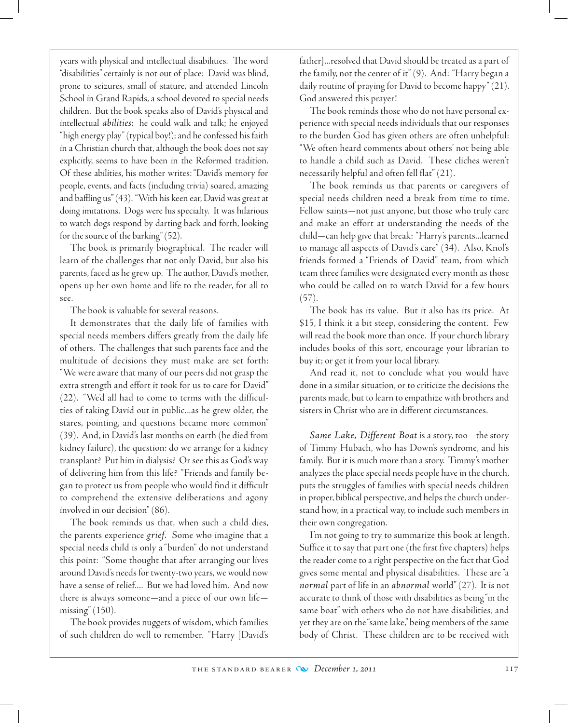years with physical and intellectual disabilities. The word "disabilities" certainly is not out of place: David was blind, prone to seizures, small of stature, and attended Lincoln School in Grand Rapids, a school devoted to special needs children. But the book speaks also of David's physical and intellectual *abilities*: he could walk and talk; he enjoyed "high energy play" (typical boy!); and he confessed his faith in a Christian church that, although the book does not say explicitly, seems to have been in the Reformed tradition. Of these abilities, his mother writes: "David's memory for people, events, and facts (including trivia) soared, amazing and baffling us" (43). "With his keen ear, David was great at doing imitations. Dogs were his specialty. It was hilarious to watch dogs respond by darting back and forth, looking for the source of the barking" (52).

The book is primarily biographical. The reader will learn of the challenges that not only David, but also his parents, faced as he grew up. The author, David's mother, opens up her own home and life to the reader, for all to see.

The book is valuable for several reasons.

It demonstrates that the daily life of families with special needs members differs greatly from the daily life of others. The challenges that such parents face and the multitude of decisions they must make are set forth: "We were aware that many of our peers did not grasp the extra strength and effort it took for us to care for David" (22). "We'd all had to come to terms with the difficulties of taking David out in public...as he grew older, the stares, pointing, and questions became more common" (39). And, in David's last months on earth (he died from kidney failure), the question: do we arrange for a kidney transplant? Put him in dialysis? Or see this as God's way of delivering him from this life? "Friends and family began to protect us from people who would find it difficult to comprehend the extensive deliberations and agony involved in our decision" (86).

The book reminds us that, when such a child dies, the parents experience *grief.* Some who imagine that a special needs child is only a "burden" do not understand this point: "Some thought that after arranging our lives around David's needs for twenty-two years, we would now have a sense of relief.... But we had loved him. And now there is always someone—and a piece of our own life missing" (150).

The book provides nuggets of wisdom, which families of such children do well to remember. "Harry [David's father]...resolved that David should be treated as a part of the family, not the center of it" (9). And: "Harry began a daily routine of praying for David to become happy" (21). God answered this prayer!

The book reminds those who do not have personal experience with special needs individuals that our responses to the burden God has given others are often unhelpful: "We often heard comments about others' not being able to handle a child such as David. These cliches weren't necessarily helpful and often fell flat" (21).

The book reminds us that parents or caregivers of special needs children need a break from time to time. Fellow saints—not just anyone, but those who truly care and make an effort at understanding the needs of the child—can help give that break: "Harry's parents...learned to manage all aspects of David's care" (34). Also, Knol's friends formed a "Friends of David" team, from which team three families were designated every month as those who could be called on to watch David for a few hours (57).

The book has its value. But it also has its price. At \$15, I think it a bit steep, considering the content. Few will read the book more than once. If your church library includes books of this sort, encourage your librarian to buy it; or get it from your local library.

And read it, not to conclude what you would have done in a similar situation, or to criticize the decisions the parents made, but to learn to empathize with brothers and sisters in Christ who are in different circumstances.

*Same Lake, Different Boat* is a story, too—the story of Timmy Hubach, who has Down's syndrome, and his family. But it is much more than a story. Timmy's mother analyzes the place special needs people have in the church, puts the struggles of families with special needs children in proper, biblical perspective, and helps the church understand how, in a practical way, to include such members in their own congregation.

I'm not going to try to summarize this book at length. Suffice it to say that part one (the first five chapters) helps the reader come to a right perspective on the fact that God gives some mental and physical disabilities. These are "a *normal* part of life in an *abnormal* world" (27). It is not accurate to think of those with disabilities as being "in the same boat" with others who do not have disabilities; and yet they are on the "same lake," being members of the same body of Christ. These children are to be received with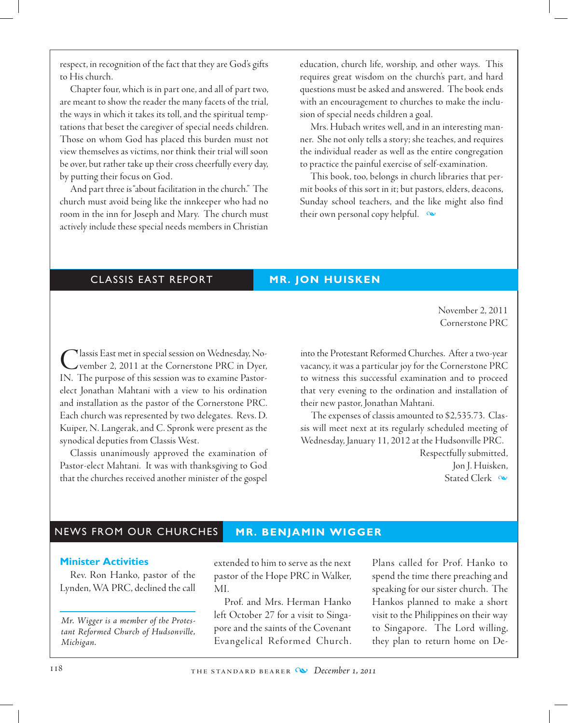respect, in recognition of the fact that they are God's gifts to His church.

Chapter four, which is in part one, and all of part two, are meant to show the reader the many facets of the trial, the ways in which it takes its toll, and the spiritual temptations that beset the caregiver of special needs children. Those on whom God has placed this burden must not view themselves as victims, nor think their trial will soon be over, but rather take up their cross cheerfully every day, by putting their focus on God.

And part three is "about facilitation in the church." The church must avoid being like the innkeeper who had no room in the inn for Joseph and Mary. The church must actively include these special needs members in Christian education, church life, worship, and other ways. This requires great wisdom on the church's part, and hard questions must be asked and answered. The book ends with an encouragement to churches to make the inclusion of special needs children a goal.

 Mrs. Hubach writes well, and in an interesting manner. She not only tells a story; she teaches, and requires the individual reader as well as the entire congregation to practice the painful exercise of self-examination.

This book, too, belongs in church libraries that permit books of this sort in it; but pastors, elders, deacons, Sunday school teachers, and the like might also find their own personal copy helpful.  $\infty$ 

# CLASSIS EAST REPORT **MR. JON HUISKEN**

November 2, 2011 Cornerstone PRC

Classis East met in special session on Wednesday, No-<br>
vember 2, 2011 at the Cornerstone PRC in Dyer, IN. The purpose of this session was to examine Pastorelect Jonathan Mahtani with a view to his ordination and installation as the pastor of the Cornerstone PRC. Each church was represented by two delegates. Revs. D. Kuiper, N. Langerak, and C. Spronk were present as the synodical deputies from Classis West.

Classis unanimously approved the examination of Pastor-elect Mahtani. It was with thanksgiving to God that the churches received another minister of the gospel into the Protestant Reformed Churches. After a two-year vacancy, it was a particular joy for the Cornerstone PRC to witness this successful examination and to proceed that very evening to the ordination and installation of their new pastor, Jonathan Mahtani.

The expenses of classis amounted to \$2,535.73. Classis will meet next at its regularly scheduled meeting of Wednesday, January 11, 2012 at the Hudsonville PRC.

> Respectfully submitted, Jon J. Huisken, Stated Clerk  $\infty$

# NEWS FROM OUR CHURCHES **MR. BENJAMIN WIGGER**

#### **Minister Activities**

Rev. Ron Hanko, pastor of the Lynden, WA PRC, declined the call

*Mr. Wigger is a member of the Protestant Reformed Church of Hudsonville, Michigan.*

extended to him to serve as the next pastor of the Hope PRC in Walker, MI.

Prof. and Mrs. Herman Hanko left October 27 for a visit to Singapore and the saints of the Covenant Evangelical Reformed Church.

Plans called for Prof. Hanko to spend the time there preaching and speaking for our sister church. The Hankos planned to make a short visit to the Philippines on their way to Singapore. The Lord willing, they plan to return home on De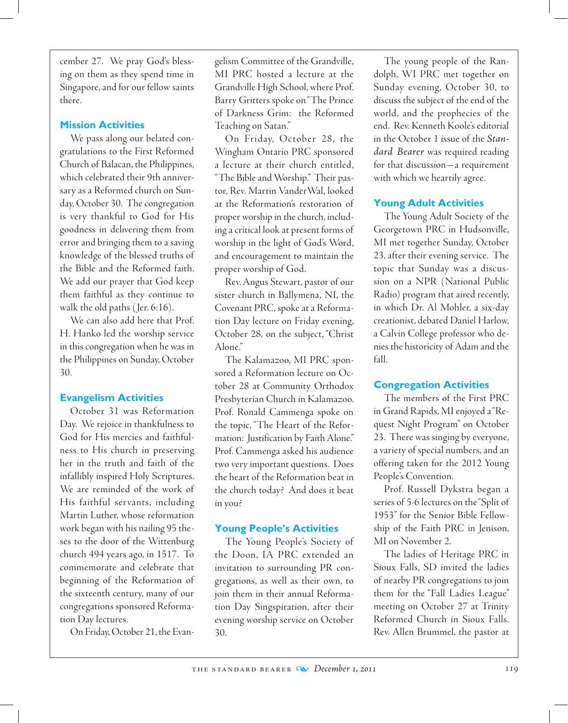cember 27. We pray God's blessing on them as they spend time in Singapore, and for our fellow saints there.

### **Mission Activities**

We pass along our belated congratulations to the First Reformed Church of Balacan, the Philippines, which celebrated their 9th anniversary as a Reformed church on Sunday, October 30. The congregation is very thankful to God for His goodness in delivering them from error and bringing them to a saving knowledge of the blessed truths of the Bible and the Reformed faith. We add our prayer that God keep them faithful as they continue to walk the old paths ( Jer. 6:16).

We can also add here that Prof. H. Hanko led the worship service in this congregation when he was in the Philippines on Sunday, October 30.

### **Evangelism Activities**

October 31 was Reformation Day. We rejoice in thankfulness to God for His mercies and faithfulness to His church in preserving her in the truth and faith of the infallibly inspired Holy Scriptures. We are reminded of the work of His faithful servants, including Martin Luther, whose reformation work began with his nailing 95 theses to the door of the Wittenburg church 494 years ago, in 1517. To commemorate and celebrate that beginning of the Reformation of the sixteenth century, many of our congregations sponsored Reformation Day lectures.

On Friday, October 21, the Evan-

gelism Committee of the Grandville, MI PRC hosted a lecture at the Grandville High School, where Prof. Barry Gritters spoke on "The Prince of Darkness Grim: the Reformed Teaching on Satan."

On Friday, October 28, the Wingham Ontario PRC sponsored a lecture at their church entitled, "The Bible and Worship." Their pastor, Rev. Martin VanderWal, looked at the Reformation's restoration of proper worship in the church, including a critical look at present forms of worship in the light of God's Word, and encouragement to maintain the proper worship of God.

Rev. Angus Stewart, pastor of our sister church in Ballymena, NI, the Covenant PRC, spoke at a Reformation Day lecture on Friday evening, October 28, on the subject, "Christ Alone."

The Kalamazoo, MI PRC sponsored a Reformation lecture on October 28 at Community Orthodox Presbyterian Church in Kalamazoo. Prof. Ronald Cammenga spoke on the topic, "The Heart of the Reformation: Justification by Faith Alone." Prof. Cammenga asked his audience two very important questions. Does the heart of the Reformation beat in the church today? And does it beat in you?

### **Young People's Activities**

The Young People's Society of the Doon, IA PRC extended an invitation to surrounding PR congregations, as well as their own, to join them in their annual Reformation Day Singspiration, after their evening worship service on October 30.

The young people of the Randolph, WI PRC met together on Sunday evening, October 30, to discuss the subject of the end of the world, and the prophecies of the end. Rev. Kenneth Koole's editorial in the October 1 issue of the *Standard Bearer* was required reading for that discussion—a requirement with which we heartily agree.

#### **Young Adult Activities**

The Young Adult Society of the Georgetown PRC in Hudsonville, MI met together Sunday, October 23, after their evening service. The topic that Sunday was a discussion on a NPR (National Public Radio) program that aired recently, in which Dr. Al Mohler, a six-day creationist, debated Daniel Harlow, a Calvin College professor who denies the historicity of Adam and the fall.

#### **Congregation Activities**

The members of the First PRC in Grand Rapids, MI enjoyed a "Request Night Program" on October 23. There was singing by everyone, a variety of special numbers, and an offering taken for the 2012 Young People's Convention.

Prof. Russell Dykstra began a series of 5-6 lectures on the "Split of 1953" for the Senior Bible Fellowship of the Faith PRC in Jenison, MI on November 2.

The ladies of Heritage PRC in Sioux Falls, SD invited the ladies of nearby PR congregations to join them for the "Fall Ladies League" meeting on October 27 at Trinity Reformed Church in Sioux Falls. Rev. Allen Brummel, the pastor at